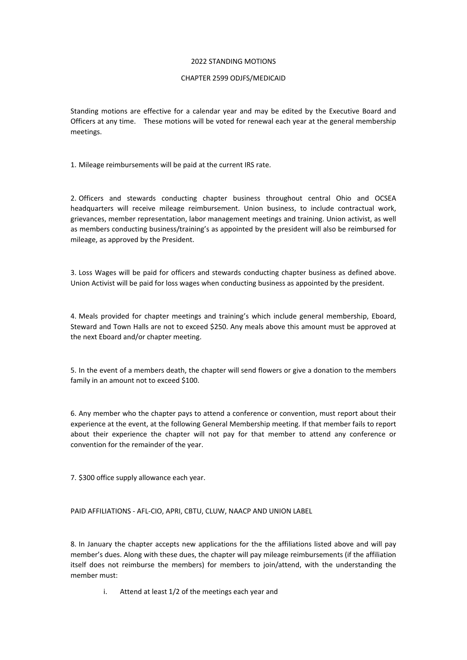## 2022 STANDING MOTIONS

## CHAPTER 2599 ODJFS/MEDICAID

Standing motions are effective for a calendar year and may be edited by the Executive Board and Officers at any time. These motions will be voted for renewal each year at the general membership meetings.

1. Mileage reimbursements will be paid at the current IRS rate.

2. Officers and stewards conducting chapter business throughout central Ohio and OCSEA headquarters will receive mileage reimbursement. Union business, to include contractual work, grievances, member representation, labor management meetings and training. Union activist, as well as members conducting business/training's as appointed by the president will also be reimbursed for mileage, as approved by the President.

3. Loss Wages will be paid for officers and stewards conducting chapter business as defined above. Union Activist will be paid for loss wages when conducting business as appointed by the president.

4. Meals provided for chapter meetings and training's which include general membership, Eboard, Steward and Town Halls are not to exceed \$250. Any meals above this amount must be approved at the next Eboard and/or chapter meeting.

5. In the event of a members death, the chapter will send flowers or give a donation to the members family in an amount not to exceed \$100.

6. Any member who the chapter pays to attend a conference or convention, must report about their experience at the event, at the following General Membership meeting. If that member fails to report about their experience the chapter will not pay for that member to attend any conference or convention for the remainder of the year.

7. \$300 office supply allowance each year.

PAID AFFILIATIONS - AFL-CIO, APRI, CBTU, CLUW, NAACP AND UNION LABEL

8. In January the chapter accepts new applications for the the affiliations listed above and will pay member's dues. Along with these dues, the chapter will pay mileage reimbursements (if the affiliation itself does not reimburse the members) for members to join/attend, with the understanding the member must:

i. Attend at least 1/2 of the meetings each year and